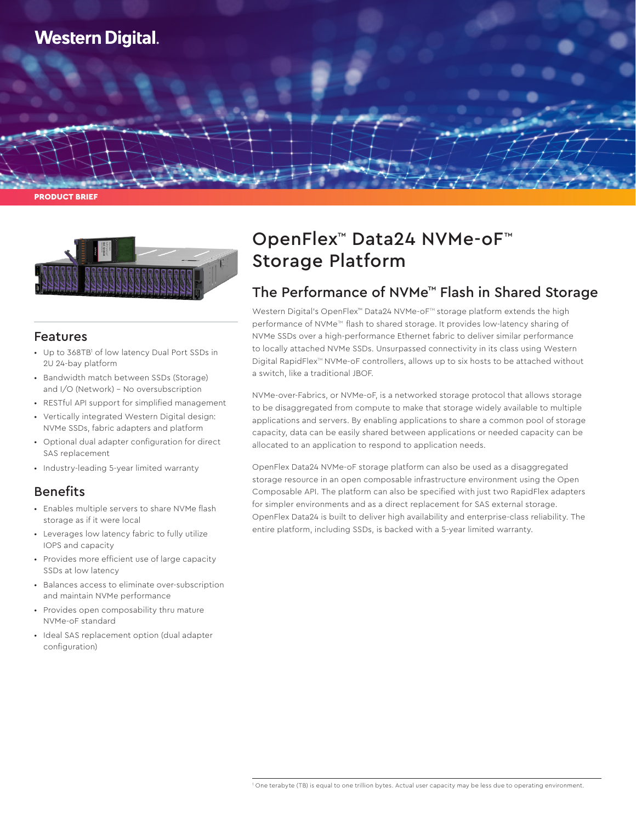

PRODUCT BRIEF



### Features

- Up to 368TB<sup>1</sup> of low latency Dual Port SSDs in 2U 24-bay platform
- Bandwidth match between SSDs (Storage) and I/O (Network) – No oversubscription
- RESTful API support for simplified management
- Vertically integrated Western Digital design: NVMe SSDs, fabric adapters and platform
- Optional dual adapter configuration for direct SAS replacement
- Industry-leading 5-year limited warranty

## Benefits

- Enables multiple servers to share NVMe flash storage as if it were local
- Leverages low latency fabric to fully utilize IOPS and capacity
- Provides more efficient use of large capacity SSDs at low latency
- Balances access to eliminate over-subscription and maintain NVMe performance
- Provides open composability thru mature NVMe-oF standard
- Ideal SAS replacement option (dual adapter configuration)

# OpenFlex™ Data24 NVMe-oF™ Storage Platform

# The Performance of NVMe™ Flash in Shared Storage

Western Digital's OpenFlex<sup>™</sup> Data24 NVMe-oF<sup>™</sup> storage platform extends the high performance of NVMe<sup>™</sup> flash to shared storage. It provides low-latency sharing of NVMe SSDs over a high-performance Ethernet fabric to deliver similar performance to locally attached NVMe SSDs. Unsurpassed connectivity in its class using Western Digital RapidFlex™ NVMe-oF controllers, allows up to six hosts to be attached without a switch, like a traditional JBOF.

NVMe-over-Fabrics, or NVMe-oF, is a networked storage protocol that allows storage to be disaggregated from compute to make that storage widely available to multiple applications and servers. By enabling applications to share a common pool of storage capacity, data can be easily shared between applications or needed capacity can be allocated to an application to respond to application needs.

OpenFlex Data24 NVMe-oF storage platform can also be used as a disaggregated storage resource in an open composable infrastructure environment using the Open Composable API. The platform can also be specified with just two RapidFlex adapters for simpler environments and as a direct replacement for SAS external storage. OpenFlex Data24 is built to deliver high availability and enterprise-class reliability. The entire platform, including SSDs, is backed with a 5-year limited warranty.